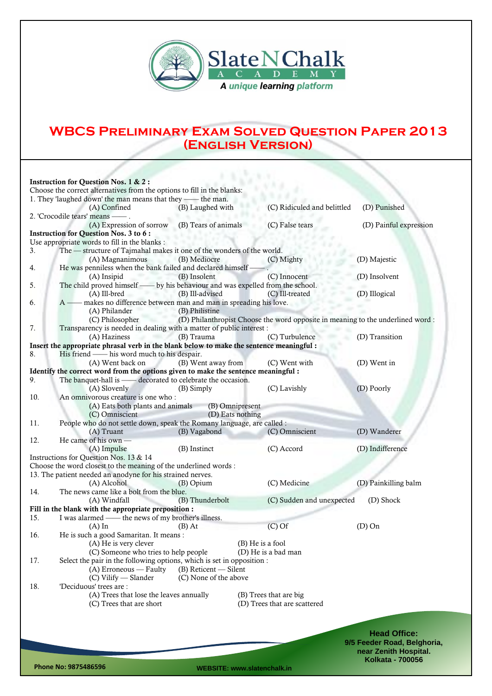

## **WBCS Preliminary Exam Solved Question Paper 2013 (English Version)**

|     | <b>Instruction for Question Nos. 1 &amp; 2:</b>                                         |                       |                  |                                                                                 |                             |
|-----|-----------------------------------------------------------------------------------------|-----------------------|------------------|---------------------------------------------------------------------------------|-----------------------------|
|     | Choose the correct alternatives from the options to fill in the blanks:                 |                       |                  |                                                                                 |                             |
|     | 1. They 'laughed down' the man means that they -- the man.<br>(A) Confined              | (B) Laughed with      |                  | (C) Ridiculed and belittled                                                     | (D) Punished                |
|     | 2. 'Crocodile tears' means --                                                           |                       |                  |                                                                                 |                             |
|     |                                                                                         | (B) Tears of animals  |                  | (C) False tears                                                                 |                             |
|     | (A) Expression of sorrow                                                                |                       |                  |                                                                                 | (D) Painful expression      |
|     | <b>Instruction for Question Nos. 3 to 6:</b>                                            |                       |                  |                                                                                 |                             |
|     | Use appropriate words to fill in the blanks :                                           |                       |                  |                                                                                 |                             |
| 3.  | The - structure of Tajmahal makes it one of the wonders of the world.                   |                       |                  |                                                                                 |                             |
|     | (A) Magnanimous                                                                         | (B) Mediocre          |                  | (C) Mighty                                                                      | (D) Majestic                |
| 4.  | He was penniless when the bank failed and declared himself                              |                       |                  |                                                                                 |                             |
|     | (A) Insipid                                                                             | (B) Insolent          |                  | (C) Innocent                                                                    | (D) Insolvent               |
| 5.  | The child proved himself — by his behaviour and was expelled from the school.           |                       |                  |                                                                                 |                             |
|     | $(A)$ Ill-bred                                                                          | (B) Ill-advised       |                  | (C) Ill-treated                                                                 | (D) Illogical               |
| 6.  | A — makes no difference between man and man in spreading his love.<br>(A) Philander     | (B) Philistine        |                  |                                                                                 |                             |
|     | (C) Philosopher                                                                         |                       |                  | (D) Philanthropist Choose the word opposite in meaning to the underlined word : |                             |
| 7.  | Transparency is needed in dealing with a matter of public interest :                    |                       |                  |                                                                                 |                             |
|     | (A) Haziness                                                                            | (B) Trauma            |                  | (C) Turbulence                                                                  | (D) Transition              |
|     | Insert the appropriate phrasal verb in the blank below to make the sentence meaningful: |                       |                  |                                                                                 |                             |
| 8.  | His friend - his word much to his despair.                                              |                       |                  |                                                                                 |                             |
|     | (A) Went back on                                                                        | (B) Went away from    |                  | (C) Went with                                                                   | (D) Went in                 |
|     | Identify the correct word from the options given to make the sentence meaningful:       |                       |                  |                                                                                 |                             |
| 9.  | The banquet-hall is - decorated to celebrate the occasion.                              |                       |                  |                                                                                 |                             |
|     | (A) Slovenly                                                                            | (B) Simply            |                  | (C) Lavishly                                                                    | (D) Poorly                  |
| 10. | An omnivorous creature is one who:                                                      |                       |                  |                                                                                 |                             |
|     | (A) Eats both plants and animals                                                        |                       | (B) Omnipresent  |                                                                                 |                             |
|     | (C) Omniscient                                                                          |                       | (D) Eats nothing |                                                                                 |                             |
| 11. | People who do not settle down, speak the Romany language, are called :                  |                       |                  |                                                                                 |                             |
|     |                                                                                         | (B) Vagabond          |                  |                                                                                 | (D) Wanderer                |
|     | (A) Truant                                                                              |                       |                  | (C) Omniscient                                                                  |                             |
| 12. | He came of his own -                                                                    |                       |                  |                                                                                 |                             |
|     | (A) Impulse                                                                             | (B) Instinct          |                  | (C) Accord                                                                      | (D) Indifference            |
|     | Instructions for Question Nos. 13 & 14                                                  |                       |                  |                                                                                 |                             |
|     | Choose the word closest to the meaning of the underlined words :                        |                       |                  |                                                                                 |                             |
|     | 13. The patient needed an anodyne for his strained nerves.                              |                       |                  |                                                                                 |                             |
|     | (A) Alcohol                                                                             | (B) Opium             |                  | (C) Medicine                                                                    | (D) Painkilling balm        |
| 14. | The news came like a bolt from the blue.                                                |                       |                  |                                                                                 |                             |
|     | (A) Windfall                                                                            | (B) Thunderbolt       |                  | (C) Sudden and unexpected                                                       | (D) Shock                   |
|     | Fill in the blank with the appropriate preposition :                                    |                       |                  |                                                                                 |                             |
| 15. | I was alarmed - the news of my brother's illness.                                       |                       |                  |                                                                                 |                             |
|     | $(A)$ In                                                                                | $(B)$ At              |                  | $(C)$ Of                                                                        | $(D)$ On                    |
| 16. | He is such a good Samaritan. It means :                                                 |                       |                  |                                                                                 |                             |
|     | (A) He is very clever                                                                   |                       | (B) He is a fool |                                                                                 |                             |
|     | (C) Someone who tries to help people                                                    |                       |                  | (D) He is a bad man                                                             |                             |
| 17. | Select the pair in the following options, which is set in opposition :                  |                       |                  |                                                                                 |                             |
|     | (A) Erroneous - Faulty                                                                  | (B) Reticent — Silent |                  |                                                                                 |                             |
|     | (C) Vilify — Slander                                                                    | (C) None of the above |                  |                                                                                 |                             |
| 18. | 'Deciduous' trees are :                                                                 |                       |                  |                                                                                 |                             |
|     | (A) Trees that lose the leaves annually                                                 |                       |                  | (B) Trees that are big                                                          |                             |
|     | (C) Trees that are short                                                                |                       |                  | (D) Trees that are scattered                                                    |                             |
|     |                                                                                         |                       |                  |                                                                                 |                             |
|     |                                                                                         |                       |                  |                                                                                 |                             |
|     |                                                                                         |                       |                  |                                                                                 |                             |
|     |                                                                                         |                       |                  |                                                                                 | <b>Head Office:</b>         |
|     |                                                                                         |                       |                  |                                                                                 | 9/5 Feeder Road, Belghoria, |

**Phone No: 9875486596 WEBSITE: www.slatenchalk.in**

**near Zenith Hospital. Kolkata - 700056**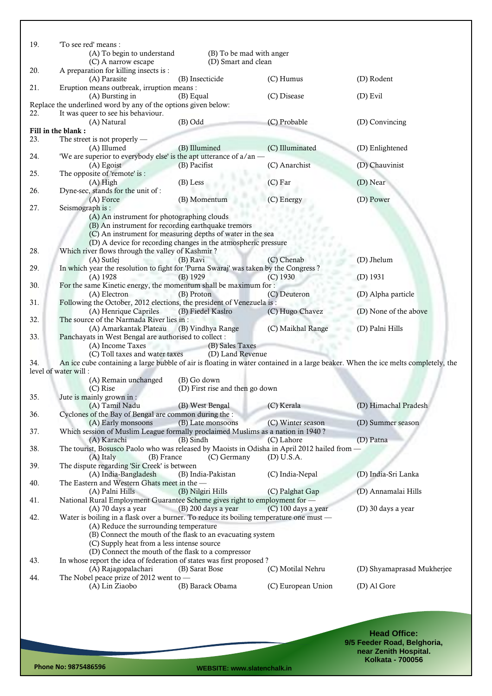| 19.        | 'To see red' means :<br>(A) To begin to understand<br>(C) A narrow escape                                                                                               | (B) To be mad with anger<br>(D) Smart and clean                                                                              |                       |                            |
|------------|-------------------------------------------------------------------------------------------------------------------------------------------------------------------------|------------------------------------------------------------------------------------------------------------------------------|-----------------------|----------------------------|
| 20.        | A preparation for killing insects is :<br>(A) Parasite                                                                                                                  | (B) Insecticide                                                                                                              | (C) Humus             | (D) Rodent                 |
| 21.        | Eruption means outbreak, irruption means :<br>(A) Bursting in                                                                                                           | (B) Equal                                                                                                                    | (C) Disease           | $(D)$ Evil                 |
| 22.        | Replace the underlined word by any of the options given below:<br>It was queer to see his behaviour.                                                                    |                                                                                                                              |                       |                            |
|            | (A) Natural<br>Fill in the blank:                                                                                                                                       | (B) Odd                                                                                                                      | (C) Probable          | (D) Convincing             |
| 23.        | The street is not properly $-$                                                                                                                                          |                                                                                                                              |                       |                            |
|            | (A) Illumed                                                                                                                                                             | (B) Illumined                                                                                                                | (C) Illuminated       | (D) Enlightened            |
| 24.        | 'We are superior to everybody else' is the apt utterance of a/an -                                                                                                      |                                                                                                                              |                       |                            |
| 25.        | $(A)$ Egoist<br>The opposite of 'remote' is :                                                                                                                           | (B) Pacifist                                                                                                                 | (C) Anarchist         | (D) Chauvinist             |
|            | $(A)$ High                                                                                                                                                              | (B) Less                                                                                                                     | (C) Far               | (D) Near                   |
| 26.        | Dyne-sec, stands for the unit of:<br>$(A)$ Force                                                                                                                        | (B) Momentum                                                                                                                 | (C) Energy            | (D) Power                  |
| 27.<br>28. | Seismograph is:<br>(A) An instrument for photographing clouds<br>(B) An instrument for recording earthquake tremors<br>Which river flows through the valley of Kashmir? | (C) An instrument for measuring depths of water in the sea<br>(D) A device for recording changes in the atmospheric pressure |                       |                            |
|            | (A) Sutlej                                                                                                                                                              | (B) Ravi                                                                                                                     | (C) Chenab            | (D) Jhelum                 |
| 29.        | In which year the resolution to fight for 'Purna Swaraj' was taken by the Congress?<br>$(A)$ 1928                                                                       | (B) 1929                                                                                                                     | $(C)$ 1930            | $(D)$ 1931                 |
| 30.        | For the same Kinetic energy, the momentum shall be maximum for :                                                                                                        |                                                                                                                              |                       |                            |
| 31.        | (A) Electron<br>Following the October, 2012 elections, the president of Venezuela is:                                                                                   | (B) Proton                                                                                                                   | (C) Deuteron          | (D) Alpha particle         |
|            | (A) Henrique Capriles                                                                                                                                                   | (B) Fiedel Kaslro                                                                                                            | (C) Hugo Chavez       | (D) None of the above      |
| 32.        | The source of the Narmada River lies in:<br>(A) Amarkantak Plateau                                                                                                      | (B) Vindhya Range                                                                                                            | (C) Maikhal Range     | (D) Palni Hills            |
| 33.        | Panchayats in West Bengal are authorised to collect :                                                                                                                   |                                                                                                                              |                       |                            |
|            | (A) Income Taxes                                                                                                                                                        | (B) Sales Taxes                                                                                                              |                       |                            |
|            | (C) Toll taxes and water taxes                                                                                                                                          | (D) Land Revenue                                                                                                             |                       |                            |
| 34.        | An ice cube containing a large bubble of air is floating in water contained in a large beaker. When the ice melts completely, the<br>level of water will:               |                                                                                                                              |                       |                            |
|            | (A) Remain unchanged                                                                                                                                                    | (B) Go down                                                                                                                  |                       |                            |
|            | (C) Rise                                                                                                                                                                | (D) First rise and then go down                                                                                              |                       |                            |
| 35.        | Jute is mainly grown in :                                                                                                                                               | (B) West Bengal                                                                                                              |                       |                            |
| 36.        | (A) Tamil Nadu<br>Cyclones of the Bay of Bengal are common during the :                                                                                                 |                                                                                                                              | (C) Kerala            | (D) Himachal Pradesh       |
|            | (A) Early monsoons                                                                                                                                                      | (B) Late monsoons                                                                                                            | (C) Winter season     | (D) Summer season          |
| 37.        | Which session of Muslim League formally proclaimed Muslims as a nation in 1940?                                                                                         |                                                                                                                              |                       |                            |
|            | (A) Karachi                                                                                                                                                             | (B) Sindh                                                                                                                    | (C) Lahore            | (D) Patna                  |
| 38.        | The tourist, Bosusco Paolo who was released by Maoists in Odisha in April 2012 hailed from -                                                                            |                                                                                                                              |                       |                            |
| 39.        | (B) France<br>(A) Italy<br>The dispute regarding 'Sir Creek' is between                                                                                                 | (C) Germany                                                                                                                  | (D) U.S.A.            |                            |
|            | (A) India-Bangladesh                                                                                                                                                    | (B) India-Pakistan                                                                                                           | (C) India-Nepal       | (D) India-Sri Lanka        |
| 40.        | The Eastern and Western Ghats meet in the $-$<br>(A) Palni Hills                                                                                                        | (B) Nilgiri Hills                                                                                                            | (C) Palghat Gap       | (D) Annamalai Hills        |
| 41.        | National Rural Employment Guarantee Scheme gives right to employment for -                                                                                              |                                                                                                                              |                       |                            |
| 42.        | (A) 70 days a year<br>Water is boiling in a flask over a burner. To reduce its boiling temperature one must -                                                           | (B) 200 days a year                                                                                                          | $(C)$ 100 days a year | (D) 30 days a year         |
|            | (A) Reduce the surrounding temperature<br>(C) Supply heat from a less intense source<br>(D) Connect the mouth of the flask to a compressor                              | (B) Connect the mouth of the flask to an evacuating system                                                                   |                       |                            |
| 43.        | In whose report the idea of federation of states was first proposed?<br>(A) Rajagopalachari                                                                             | (B) Sarat Bose                                                                                                               | (C) Motilal Nehru     | (D) Shyamaprasad Mukherjee |
| 44.        | The Nobel peace prize of 2012 went to $-$                                                                                                                               |                                                                                                                              |                       |                            |
|            | (A) Lin Ziaobo                                                                                                                                                          | (B) Barack Obama                                                                                                             | (C) European Union    | (D) Al Gore                |
|            |                                                                                                                                                                         |                                                                                                                              |                       |                            |
|            |                                                                                                                                                                         |                                                                                                                              |                       |                            |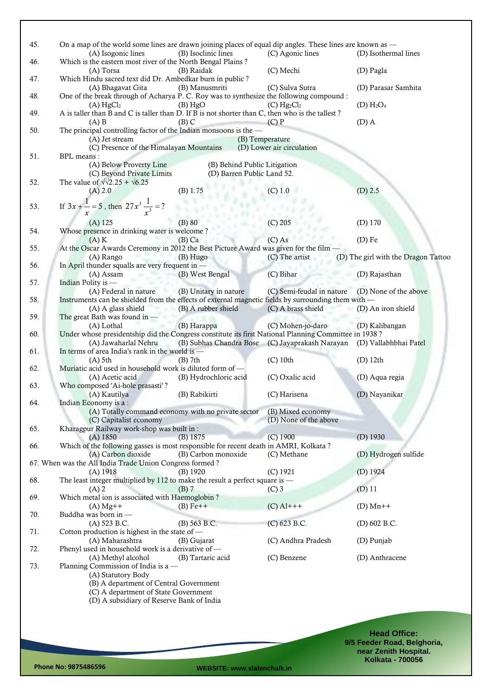| 45. | On a map of the world some lines are drawn joining places of equal dip angles. These lines are known as — |                                                    |                             |                                     |
|-----|-----------------------------------------------------------------------------------------------------------|----------------------------------------------------|-----------------------------|-------------------------------------|
|     | (A) Isogonic lines                                                                                        | (B) Isoclinic lines                                | (C) Agonic lines            | (D) Isothermal lines                |
| 46. | Which is the eastern most river of the North Bengal Plains?                                               |                                                    |                             |                                     |
|     | (A) Torsa                                                                                                 | (B) Raidak                                         | (C) Mechi                   | (D) Pagla                           |
| 47. | Which Hindu sacred text did Dr. Ambedkar burn in public?                                                  |                                                    |                             |                                     |
|     | (A) Bhagavat Gita                                                                                         | (B) Manusmriti                                     | (C) Sulva Sutra             | (D) Parasar Samhita                 |
| 48. | One of the break through of Acharya P. C. Roy was to synthesize the following compound :                  |                                                    |                             |                                     |
|     | $(A)$ HgCl <sub>2</sub>                                                                                   | $(B)$ HgO                                          | $(C)$ Hg <sub>2</sub> $Cl2$ | $(D)$ $H_2O_4$                      |
| 49. | A is taller than B and C is taller than D. If B is not shorter than C, then who is the tallest ?          |                                                    |                             |                                     |
|     | $(A)$ B                                                                                                   | $(B)$ C                                            | $(C)$ $P$                   | $(D)$ A                             |
| 50. | The principal controlling factor of the Indian monsoons is the $-$                                        |                                                    |                             |                                     |
|     | (A) Jet stream                                                                                            |                                                    |                             |                                     |
|     |                                                                                                           |                                                    | (B) Temperature             |                                     |
|     | (C) Presence of the Himalayan Mountains                                                                   |                                                    | (D) Lower air circulation   |                                     |
| 51. | BPL means:                                                                                                |                                                    |                             |                                     |
|     | (A) Below Proverty Line                                                                                   | (B) Behind Public Litigation                       |                             |                                     |
|     | (C) Beyond Private Limits                                                                                 | (D) Barren Public Land 52.                         |                             |                                     |
| 52. | The value of $\sqrt{2.25} + \sqrt{6.25}$                                                                  |                                                    |                             |                                     |
|     | (A) 2.0                                                                                                   | (B) 1.75                                           | (C) 1.0                     | $(D)$ 2.5                           |
|     |                                                                                                           |                                                    |                             |                                     |
| 53. | If $3x + \frac{1}{x} = 5$ , then $27x^3 \frac{1}{x^3} = ?$                                                |                                                    |                             |                                     |
|     |                                                                                                           |                                                    |                             |                                     |
|     | $(A)$ 125                                                                                                 | $(B)$ 80                                           | $(C)$ 205                   | $(D)$ 170                           |
| 54. | Whose presence in drinking water is welcome?                                                              |                                                    |                             |                                     |
|     | (A) K                                                                                                     | $(B)$ Ca                                           | $(C)$ As                    | $(D)$ Fe                            |
| 55. | At the Oscar Awards Ceremony in 2012 the Best Picture Award was given for the film                        |                                                    |                             |                                     |
|     | $(A)$ Rango                                                                                               | $(B)$ Hugo                                         | (C) The artist              | (D) The girl with the Dragon Tattoo |
| 56. | In April thunder squalls are very frequent in -                                                           |                                                    |                             |                                     |
|     | (A) Assam                                                                                                 | (B) West Bengal                                    | (C) Bihar                   | (D) Rajasthan                       |
| 57. | Indian Polity is -                                                                                        |                                                    |                             |                                     |
|     | (A) Federal in nature                                                                                     | (B) Unitary in nature                              | (C) Semi-feudal in nature   | (D) None of the above               |
| 58. | Instruments can be shielded from the effects of external magnetic fields by surrounding them with —       |                                                    |                             |                                     |
|     |                                                                                                           | (B) A rubber shield                                |                             |                                     |
|     | (A) A glass shield                                                                                        |                                                    | (C) A brass shield          | (D) An iron shield                  |
| 59. | The great Bath was found in $-$                                                                           |                                                    |                             |                                     |
|     | (A) Lothal                                                                                                | (B) Harappa                                        | (C) Mohen-jo-daro           | (D) Kalibangan                      |
| 60. | Under whose presidentship did the Congress constitute its first National Planning Committee in 1938?      |                                                    |                             |                                     |
|     | (A) Jawaharlal Nehru                                                                                      | (B) Subhas Chandra Bose                            | (C) Jayaprakash Narayan     | (D) Vallabhbhai Patel               |
| 61. | In terms of area India's rank in the world is -                                                           |                                                    |                             |                                     |
|     | $(A)$ 5th                                                                                                 | $(B)$ 7th                                          | $(C)$ 10th                  | $(D)$ 12th                          |
| 62. | Muriatic acid used in household work is diluted form of -                                                 |                                                    |                             |                                     |
|     | (A) Acetic acid                                                                                           | (B) Hydrochloric acid                              | (C) Oxalic acid             | (D) Aqua regia                      |
| 63. | Who composed 'Ai-hole prasasti'?                                                                          |                                                    |                             |                                     |
|     | (A) Kautilya                                                                                              | (B) Rabikirti                                      | (C) Harisena                | (D) Nayanikar                       |
| 64. | Indian Economy is a:                                                                                      |                                                    |                             |                                     |
|     |                                                                                                           | (A) Totally command economy with no private sector | (B) Mixed economy           |                                     |
|     | (C) Capitalist economy                                                                                    |                                                    | (D) None of the above       |                                     |
| 65. | Kharagpur Railway work-shop was built in:                                                                 |                                                    |                             |                                     |
|     | $(A)$ 1850                                                                                                | $(B)$ 1875                                         | $(C)$ 1900                  | $(D)$ 1930                          |
| 66. | Which of the following gasses is most responsible for recent death in AMRI, Kolkata?                      |                                                    |                             |                                     |
|     |                                                                                                           |                                                    |                             |                                     |
|     | (A) Carbon dioxide                                                                                        | (B) Carbon monoxide                                | (C) Methane                 | (D) Hydrogen sulfide                |
|     | 67. When was the All India Trade Union Congress formed?                                                   |                                                    |                             |                                     |
|     | $(A)$ 1918                                                                                                | (B) 1920                                           | $(C)$ 1921                  | (D) 1924                            |
| 68. | The least integer multiplied by 112 to make the result a perfect square is $-$                            |                                                    |                             |                                     |
|     | $(A)$ 2                                                                                                   | $(B)$ 7                                            | $(C)$ 3                     | $(D)$ 11                            |
| 69. | Which metal ion is associated with Haemoglobin?                                                           |                                                    |                             |                                     |
|     | $(A)$ Mg++                                                                                                | $(B)$ Fe++                                         | $(C)$ Al+++                 | $(D)$ Mn++                          |
| 70. | Buddha was born in -                                                                                      |                                                    |                             |                                     |
|     | $(A)$ 523 B.C.                                                                                            | (B) 563 B.C.                                       | $(C)$ 623 B.C.              | (D) 602 B.C.                        |
| 71. | Cotton production is highest in the state of $-$                                                          |                                                    |                             |                                     |
|     | (A) Maharashtra                                                                                           | (B) Gujarat                                        | (C) Andhra Pradesh          | (D) Punjab                          |
| 72. | Phenyl used in household work is a derivative of -                                                        |                                                    |                             |                                     |
|     | (A) Methyl alcohol                                                                                        | (B) Tartaric acid                                  | (C) Benzene                 | (D) Anthracene                      |
| 73. | Planning Commission of India is a -                                                                       |                                                    |                             |                                     |
|     | (A) Statutory Body                                                                                        |                                                    |                             |                                     |
|     | (B) A department of Central Government                                                                    |                                                    |                             |                                     |
|     | (C) A department of State Government                                                                      |                                                    |                             |                                     |
|     |                                                                                                           |                                                    |                             |                                     |
|     | (D) A subsidiary of Reserve Bank of India                                                                 |                                                    |                             |                                     |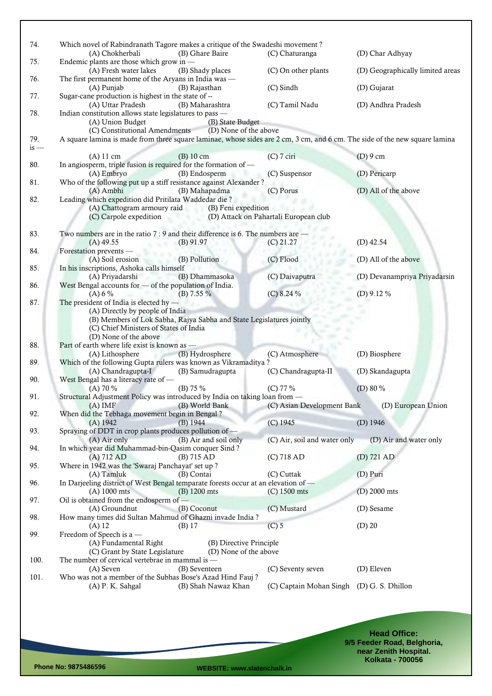| 74.    | Which novel of Rabindranath Tagore makes a critique of the Swadeshi movement?                                              |                                       |                                  |
|--------|----------------------------------------------------------------------------------------------------------------------------|---------------------------------------|----------------------------------|
|        | (A) Chokherbali<br>(B) Ghare Baire                                                                                         | (C) Chaturanga                        | (D) Char Adhyay                  |
| 75.    | Endemic plants are those which grow in -                                                                                   |                                       |                                  |
|        | (A) Fresh water lakes<br>(B) Shady places                                                                                  | (C) On other plants                   | (D) Geographically limited areas |
| 76.    | The first permanent home of the Aryans in India was -                                                                      |                                       |                                  |
|        | (A) Punjab<br>(B) Rajasthan                                                                                                | $(C)$ Sindh                           | (D) Gujarat                      |
| 77.    | Sugar-cane production is highest in the state of --<br>(A) Uttar Pradesh<br>(B) Maharashtra                                | (C) Tamil Nadu                        | (D) Andhra Pradesh               |
| 78.    | Indian constitution allows state legislatures to pass -                                                                    |                                       |                                  |
|        | (A) Union Budget<br>(B) State Budget                                                                                       |                                       |                                  |
|        | (C) Constitutional Amendments<br>(D) None of the above                                                                     |                                       |                                  |
| 79.    | A square lamina is made from three square laminae, whose sides are 2 cm, 3 cm, and 6 cm. The side of the new square lamina |                                       |                                  |
| $is -$ |                                                                                                                            |                                       |                                  |
| 80.    | (B) 10 cm<br>$(A)$ 11 cm<br>In angiosperm, triple fusion is required for the formation of -                                | $(C)$ 7 ciri                          | $(D)$ 9 cm                       |
|        | (A) Embryo<br>(B) Endosperm                                                                                                | (C) Suspensor                         | (D) Pericarp                     |
| 81.    | Who of the following put up a stiff resistance against Alexander?                                                          |                                       |                                  |
|        | (B) Mahapadma<br>$(A)$ Ambhi                                                                                               | (C) Porus                             | (D) All of the above             |
| 82.    | Leading which expedition did Pritilata Waddedar die?                                                                       |                                       |                                  |
|        | (A) Chattogram armoury raid (B) Feni expedition                                                                            |                                       |                                  |
|        | (C) Carpole expedition                                                                                                     | (D) Attack on Pahartali European club |                                  |
|        |                                                                                                                            |                                       |                                  |
| 83.    | Two numbers are in the ratio $7:9$ and their difference is 6. The numbers are $-$                                          |                                       |                                  |
|        | $(A)$ 49.55<br>$(B)$ 91.97                                                                                                 | $(C)$ 21.27                           | (D) $42.54$                      |
| 84.    | Forestation prevents -<br>(B) Pollution<br>(A) Soil erosion                                                                | (C) Flood                             | (D) All of the above             |
| 85.    | In his inscriptions, Ashoka calls himself                                                                                  |                                       |                                  |
|        | (A) Priyadarshi<br>(B) Dhammasoka                                                                                          | (C) Daivaputra                        | (D) Devanampriya Priyadarsin     |
| 86.    | West Bengal accounts for - of the population of India.                                                                     |                                       |                                  |
|        | $(A) 6 \%$<br>(B) $7.55\%$                                                                                                 | $(C) 8.24 \%$                         | (D) $9.12\%$                     |
| 87.    | The president of India is elected hy $-$                                                                                   |                                       |                                  |
|        | (A) Directly by people of India                                                                                            |                                       |                                  |
|        | (B) Members of Lok Sabha, Rajya Sabha and State Legislatures jointly                                                       |                                       |                                  |
|        | (C) Chief Ministers of States of India<br>(D) None of the above                                                            |                                       |                                  |
| 88.    | Part of earth where life exist is known as -                                                                               |                                       |                                  |
|        | (B) Hydrosphere<br>(A) Lithosphere                                                                                         | (C) Atmosphere                        | (D) Biosphere                    |
| 89.    | Which of the following Gupta rulers was known as Vikramaditya?                                                             |                                       |                                  |
|        | (A) Chandragupta-I<br>(B) Samudragupta                                                                                     | (C) Chandragupta-II                   | (D) Skandagupta                  |
| 90.    | West Bengal has a literacy rate of -                                                                                       |                                       |                                  |
|        | $(A)$ 70 %<br>$(B)$ 75 %                                                                                                   | $(C)$ 77 %                            | (D) $80\%$                       |
| 91.    | Structural Adjustment Policy was introduced by India on taking loan from -                                                 |                                       |                                  |
| 92.    | (A) IMF (B) World Bank (C) Asian Development Bank (D) European Union                                                       |                                       |                                  |
|        | When did the Tebhaga movement begin in Bengal?<br>$(A)$ 1942<br>(B) 1944                                                   | $(C)$ 1945                            | $(D)$ 1946                       |
| 93.    | Spraying of DDT in crop plants produces pollution of -                                                                     |                                       |                                  |
|        | (B) Air and soil only<br>$(A)$ Air only                                                                                    | (C) Air, soil and water only          | (D) Air and water only           |
| 94.    | In which year did Muhammad-bin-Qasim conquer Sind?                                                                         |                                       |                                  |
|        | $(A)$ 712 $AD$<br>$(B)$ 715 AD                                                                                             | (C) 718 AD                            | $(D)$ 721 AD                     |
| 95.    | Where in 1942 was the 'Swaraj Panchayat' set up?                                                                           |                                       |                                  |
|        | (B) Contai<br>(A) Tamluk                                                                                                   | (C) Cuttak                            | (D) Puri                         |
| 96.    | In Darjeeling district of West Bengal temparate forests occur at an elevation of -                                         |                                       |                                  |
| 97.    | (B) 1200 mts<br>$(A)$ 1000 mts<br>Oil is obtained from the endosperm of -                                                  | (C) 1500 mts                          | $(D)$ 2000 mts                   |
|        | (A) Groundnut<br>(B) Coconut                                                                                               | (C) Mustard                           | (D) Sesame                       |
| 98.    | How many times did Sultan Mahmud of Ghazni invade India?                                                                   |                                       |                                  |
|        | $(A)$ 12<br>$(B)$ 17                                                                                                       | $(C)$ 5                               | $(D)$ 20                         |
| 99.    | Freedom of Speech is a -                                                                                                   |                                       |                                  |
|        | (A) Fundamental Right<br>(B) Directive Principle                                                                           |                                       |                                  |
|        | (C) Grant by State Legislature<br>(D) None of the above                                                                    |                                       |                                  |
| 100.   | The number of cervical vertebrae in mammal is -                                                                            |                                       |                                  |
|        | (A) Seven<br>(B) Seventeen                                                                                                 | (C) Seventy seven                     | (D) Eleven                       |
| 101.   | Who was not a member of the Subhas Bose's Azad Hind Fauj?<br>(A) P. K. Sahgal<br>(B) Shah Nawaz Khan                       | (C) Captain Mohan Singh               | (D) G. S. Dhillon                |
|        |                                                                                                                            |                                       |                                  |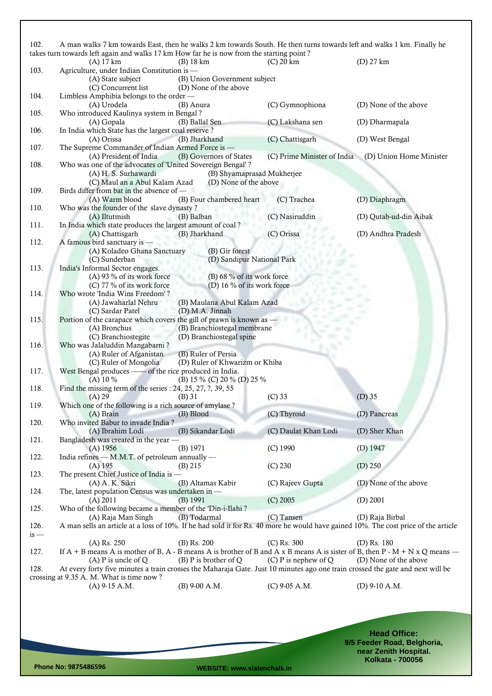| 102.           | A man walks 7 km towards East, then he walks 2 km towards South. He then turns towards left and walks 1 km. Finally he<br>takes turn towards left again and walks 17 km How far he is now from the starting point? |                                                       |                        |                                                     |
|----------------|--------------------------------------------------------------------------------------------------------------------------------------------------------------------------------------------------------------------|-------------------------------------------------------|------------------------|-----------------------------------------------------|
|                | $(A)$ 17 km                                                                                                                                                                                                        | $(B)$ 18 km                                           | $(C)$ 20 km            | $(D)$ 27 km                                         |
| 103.           | Agriculture, under Indian Constitution is -                                                                                                                                                                        |                                                       |                        |                                                     |
|                | (A) State subject<br>(C) Concurrent list                                                                                                                                                                           | (B) Union Government subject<br>(D) None of the above |                        |                                                     |
| 104.           | Limbless Amphibia belongs to the order -                                                                                                                                                                           |                                                       |                        |                                                     |
| 105.           | (A) Urodela<br>Who introduced Kaulinya system in Bengal?                                                                                                                                                           | (B) Anura                                             | (C) Gymnophiona        | (D) None of the above                               |
|                | (A) Gopala                                                                                                                                                                                                         | (B) Ballal Sen                                        | (C) Lakshana sen       | (D) Dharmapala                                      |
| 106.           | In India which State has the largest coal reserve?                                                                                                                                                                 |                                                       |                        |                                                     |
|                | (A) Orissa                                                                                                                                                                                                         | (B) Jharkhand                                         | (C) Chattisgarh        | (D) West Bengal                                     |
| 107.           | The Supreme Commander of Indian Armed Force is -                                                                                                                                                                   |                                                       |                        |                                                     |
|                | (A) President of India                                                                                                                                                                                             | (B) Governors of States                               |                        | (C) Prime Minister of India (D) Union Home Minister |
| 108.           | Who was one of the advocates of 'United Sovereign Bengal'?                                                                                                                                                         |                                                       |                        |                                                     |
|                | (A) H. S. Surhawardi                                                                                                                                                                                               | (B) Shyamaprasad Mukherjee                            |                        |                                                     |
|                | (C) Maul an a Abul Kalam Azad                                                                                                                                                                                      | (D) None of the above                                 |                        |                                                     |
| 109.           | Birds differ from bat in the absence of -                                                                                                                                                                          |                                                       |                        |                                                     |
|                | (A) Warm blood                                                                                                                                                                                                     | (B) Four chambered heart                              | (C) Trachea            | (D) Diaphragm                                       |
| 110.           | Who was the founder of the slave dynasty?                                                                                                                                                                          |                                                       |                        |                                                     |
|                | (A) Iltutmish                                                                                                                                                                                                      | (B) Balban                                            | (C) Nasiruddin         | (D) Qutab-ud-din Aibak                              |
| 111.           | In India which state produces the largest amount of coal?                                                                                                                                                          |                                                       |                        |                                                     |
|                | (A) Chattisgarh                                                                                                                                                                                                    | (B) Jharkhand                                         | (C) Orissa             | (D) Andhra Pradesh                                  |
| 112.           | A famous bird sanctuary is -                                                                                                                                                                                       |                                                       |                        |                                                     |
|                | (A) Koladeo Ghana Sanctuary                                                                                                                                                                                        | (B) Gir forest                                        |                        |                                                     |
|                | (C) Sunderban                                                                                                                                                                                                      | (D) Sandipur National Park                            |                        |                                                     |
| 113.           | India's Informal Sector engages.                                                                                                                                                                                   |                                                       |                        |                                                     |
|                | (A) 93 $%$ of its work force                                                                                                                                                                                       | (B) 68 % of its work force                            |                        |                                                     |
|                | $(C)$ 77 % of its work force                                                                                                                                                                                       | (D) 16 % of its work force                            |                        |                                                     |
| 114.           | Who wrote 'India Wins Freedom'?                                                                                                                                                                                    |                                                       |                        |                                                     |
|                | (A) Jawaharlal Nehru                                                                                                                                                                                               | (B) Maulana Abul Kalam Azad                           |                        |                                                     |
|                | (C) Sardar Patel                                                                                                                                                                                                   | (D) M.A. Jinnah                                       |                        |                                                     |
| 115.           | Portion of the carapace which covers the gill of prawn is known as -                                                                                                                                               |                                                       |                        |                                                     |
|                | (A) Bronchus                                                                                                                                                                                                       | (B) Branchiostegal membrane                           |                        |                                                     |
|                | (C) Branchiostegite                                                                                                                                                                                                | (D) Branchiostegal spine                              |                        |                                                     |
| 116.           | Who was Jalaluddin Mangabarni?                                                                                                                                                                                     |                                                       |                        |                                                     |
|                | (A) Ruler of Afganistan                                                                                                                                                                                            | (B) Ruler of Persia                                   |                        |                                                     |
|                | (C) Ruler of Mongolia                                                                                                                                                                                              | (D) Ruler of Khwarizm or Khiba                        |                        |                                                     |
| 117.           | West Bengal produces - of the rice produced in India.                                                                                                                                                              |                                                       |                        |                                                     |
|                | (A) 10 $%$                                                                                                                                                                                                         | (B) 15 % (C) 20 % (D) 25 %                            |                        |                                                     |
| 118.           | Find the missing term of the series : 24, 25, 27, ?, 39, 55                                                                                                                                                        |                                                       |                        |                                                     |
|                | $(A)$ 29                                                                                                                                                                                                           | (B) 31                                                | $(C)$ 33               | $(D)$ 35                                            |
| 119.           | Which one of the following is a rich source of amylase?                                                                                                                                                            |                                                       |                        |                                                     |
|                | (A) Brain                                                                                                                                                                                                          | (B) Blood                                             | (C) Thyroid            | (D) Pancreas                                        |
| 120.           | Who invited Babur to invade India?                                                                                                                                                                                 |                                                       |                        |                                                     |
|                | (A) Ibrahim Lodi                                                                                                                                                                                                   | (B) Sikandar Lodi                                     | (C) Daulat Khan Lodi   | (D) Sher Khan                                       |
| 121.           | Bangladesh was created in the year -                                                                                                                                                                               |                                                       |                        |                                                     |
|                | $(A)$ 1956                                                                                                                                                                                                         | (B) 1971                                              | $(C)$ 1990             | (D) $1947$                                          |
| 122.           | India refines - M.M.T. of petroleum annually -                                                                                                                                                                     |                                                       |                        |                                                     |
|                | $(A)$ 195                                                                                                                                                                                                          | (B) 215                                               | $(C)$ 230              | $(D)$ 250                                           |
| 123.           | The present Chief Justice of India is -                                                                                                                                                                            |                                                       |                        |                                                     |
|                | (A) A. K. Sikri                                                                                                                                                                                                    | (B) Altamas Kabir                                     | (C) Rajeev Gupta       | (D) None of the above                               |
| 124.           | The, latest population Census was undertaken in -                                                                                                                                                                  |                                                       |                        |                                                     |
|                | (A) 2011                                                                                                                                                                                                           | $(B)$ 1991                                            | $(C)$ 2005             | $(D)$ 2001                                          |
| 125.           | Who of the following became a member of the 'Din-i-Ilahi?                                                                                                                                                          |                                                       |                        |                                                     |
|                | (A) Raja Man Singh<br>A man sells an article at a loss of 10%. If he had sold it for Rs. 40 more he would have gained 10%. The cost price of the article                                                           | (B) Todarmal                                          | (C) Tansen             | (D) Raja Birbal                                     |
| 126.<br>$is -$ |                                                                                                                                                                                                                    |                                                       |                        |                                                     |
|                | $(A)$ Rs. 250                                                                                                                                                                                                      | $(B)$ Rs. 200                                         | $(C)$ Rs. 300          | $(D)$ Rs. 180                                       |
| 127.           | If A + B means A is mother of B, A - B means A is brother of B and A x B means A is sister of B, then $P - M + NxQ$ means —                                                                                        |                                                       |                        |                                                     |
|                | $(A)$ P is uncle of Q                                                                                                                                                                                              | $(B)$ P is brother of Q                               | $(C)$ P is nephew of Q | (D) None of the above                               |
| 128.           | At every forty five minutes a train crosses the Maharaja Gate. Just 10 minutes ago one train crossed the gate and next will be                                                                                     |                                                       |                        |                                                     |
|                | crossing at 9.35 A. M. What is time now?                                                                                                                                                                           |                                                       |                        |                                                     |
|                | $(A)$ 9-15 A.M.                                                                                                                                                                                                    | $(B)$ 9-00 A.M.                                       | $(C)$ 9-05 A.M.        | $(D)$ 9-10 A.M.                                     |
|                |                                                                                                                                                                                                                    |                                                       |                        |                                                     |
|                |                                                                                                                                                                                                                    |                                                       |                        |                                                     |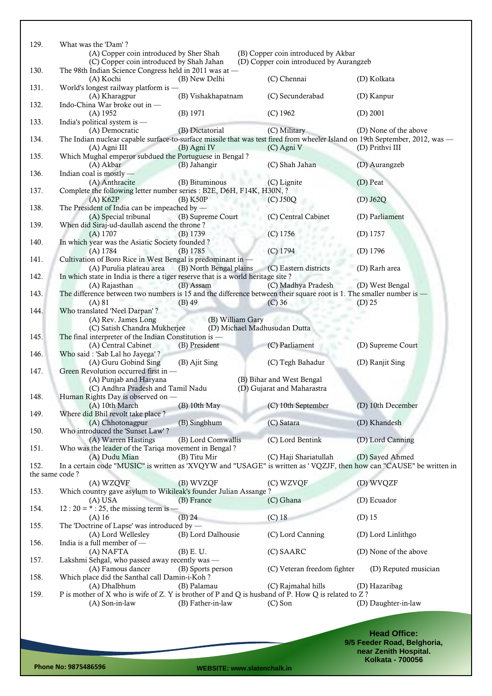| 129.                   | What was the 'Dam'?                                                                                                                    |                    |                                         |                       |
|------------------------|----------------------------------------------------------------------------------------------------------------------------------------|--------------------|-----------------------------------------|-----------------------|
|                        | (A) Copper coin introduced by Sher Shah                                                                                                |                    | (B) Copper coin introduced by Akbar     |                       |
| 130.                   | (C) Copper coin introduced by Shah Jahan<br>The 98th Indian Science Congress held in 2011 was at -                                     |                    | (D) Copper coin introduced by Aurangzeb |                       |
|                        | (A) Kochi                                                                                                                              | (B) New Delhi      | (C) Chennai                             | (D) Kolkata           |
| 131.                   | World's longest railway platform is -                                                                                                  |                    |                                         |                       |
|                        | (A) Kharagpur                                                                                                                          | (B) Vishakhapatnam | (C) Secunderabad                        | (D) Kanpur            |
| 132.                   | Indo-China War broke out in -<br>$(A)$ 1952                                                                                            | (B) 1971           | $(C)$ 1962                              | $(D)$ 2001            |
| 133.                   | India's political system is -                                                                                                          |                    |                                         |                       |
|                        | (A) Democratic                                                                                                                         | (B) Dictatorial    | (C) Military                            | (D) None of the above |
| 134.                   | The Indian nuclear capable surface-to-surface missile that was test fired from wheeler Island on 19th September, 2012, was —           |                    |                                         |                       |
| 135.                   | (A) Agni III<br>Which Mughal emperor subdued the Portuguese in Bengal?                                                                 | (B) Agni IV        | (C) Agni V                              | (D) Prithvi III       |
|                        | (A) Akbar                                                                                                                              | (B) Jahangir       | (C) Shah Jahan                          | (D) Aurangzeb         |
| 136.                   | Indian coal is mostly -                                                                                                                |                    |                                         |                       |
|                        | (A) Anthracite                                                                                                                         | (B) Bituminous     | (C) Lignite                             | (D) Peat              |
| 137.                   | Complete the following letter number series : B2E, D6H, F14K, H30N, ?<br>$(A)$ K62P                                                    | $(B)$ K50P         | $(C)$ J50 $Q$                           | $(D)$ J62Q            |
| 138.                   | The President of India can be impeached by $-$                                                                                         |                    |                                         |                       |
|                        | (A) Special tribunal                                                                                                                   | (B) Supreme Court  | (C) Central Cabinet                     | (D) Parliament        |
| 139.                   | When did Siraj-ud-daullah ascend the throne?                                                                                           |                    |                                         |                       |
|                        | $(A)$ 1707<br>In which year was the Asiatic Society founded?                                                                           | $(B)$ 1739         | $(C)$ 1756                              | $(D)$ 1757            |
| 140.                   | $(A)$ 1784                                                                                                                             | $(B)$ 1785         | $(C)$ 1794                              | (D) $1796$            |
| 141.                   | Cultivation of Boro Rice in West Bengal is predominant in -                                                                            |                    |                                         |                       |
|                        | (A) Purulia plateau area (B) North Bengal plains                                                                                       |                    | (C) Eastern districts                   | (D) Rarh area         |
| 142.                   | In which state in India is there a tiger reserve that is a world heritage site?                                                        |                    |                                         |                       |
| 143.                   | (A) Rajasthan<br>The difference between two numbers is 15 and the difference between their square root is 1. The smaller number is $-$ | (B) Assam          | (C) Madhya Pradesh                      | (D) West Bengal       |
|                        | $(A)$ 81                                                                                                                               | $(B)$ 49           | $(C)$ 36                                | $(D)$ 25              |
| 144.                   | Who translated 'Neel Darpan'?                                                                                                          |                    |                                         |                       |
|                        | (A) Rev. James Long                                                                                                                    | (B) William Gary   |                                         |                       |
| 145.                   | (C) Satish Chandra Mukherjee<br>The final interpreter of the Indian Constitution is -                                                  |                    | (D) Michael Madhusudan Dutta            |                       |
|                        | (A) Central Cabinet                                                                                                                    | (B) President      | (C) Parliament                          | (D) Supreme Court     |
| 146.                   | Who said: 'Sab Lal ho Jayega'?                                                                                                         |                    |                                         |                       |
|                        | (A) Guru Gobind Sing                                                                                                                   | (B) Ajit Sing      | (C) Tegh Bahadur                        | (D) Ranjit Sing       |
| 147.                   | Green Revolution occurred first in -                                                                                                   |                    | (B) Bihar and West Bengal               |                       |
|                        | (A) Punjab and Haryana<br>(C) Andhra Pradesh and Tamil Nadu                                                                            |                    | (D) Gujarat and Maharastra              |                       |
| 148.                   | Human Rights Day is observed on -                                                                                                      |                    |                                         |                       |
|                        | (A) 10th March                                                                                                                         | (B) 10th May       | (C) 10th September                      | (D) 10th December     |
| 149.                   | Where did Bhil revolt take place?                                                                                                      |                    |                                         |                       |
| 150.                   | (A) Chhotonagpur<br>Who introduced the 'Sunset Law'?                                                                                   | (B) Singbhum       | (C) Satara                              | (D) Khandesh          |
|                        | (A) Warren Hastings                                                                                                                    | (B) Lord Comwallis | (C) Lord Bentink                        | (D) Lord Canning      |
| 151.                   | Who was the leader of the Tariqa movement in Bengal?                                                                                   |                    |                                         |                       |
|                        | (A) Dudu Mian                                                                                                                          | (B) Titu Mir       | (C) Haji Shariatullah                   | (D) Sayed Ahmed       |
| 152.<br>the same code? | In a certain code "MUSIC" is written as 'XVQYW and "USAGE" is written as 'VQZJF, then how can "CAUSE" be written in                    |                    |                                         |                       |
|                        | (A) WZQVF                                                                                                                              | (B) WVZQF          | (C) WZVQF                               | (D) WVQZF             |
| 153.                   | Which country gave asylum to Wikileak's founder Julian Assange?                                                                        |                    |                                         |                       |
|                        | $(A)$ USA                                                                                                                              | (B) France         | (C) Ghana                               | (D) Ecuador           |
| 154.                   | $12:20 = * : 25$ , the missing term is —<br>$(A)$ 16                                                                                   | $(B)$ 24           | $(C)$ 18                                | $(D)$ 15              |
| 155.                   | The 'Doctrine of Lapse' was introduced by $-$                                                                                          |                    |                                         |                       |
|                        | (A) Lord Wellesley                                                                                                                     | (B) Lord Dalhousie | (C) Lord Canning                        | (D) Lord Linlithgo    |
| 156.                   | India is a full member of $-$                                                                                                          |                    |                                         |                       |
|                        | (A) NAFTA                                                                                                                              | $(B)$ E.U.         | (C) SAARC                               | (D) None of the above |
| 157.                   | Lakshmi Sehgal, who passed away recently was -<br>(A) Famous dancer                                                                    | (B) Sports person  | (C) Veteran freedom fighter             | (D) Reputed musician  |
| 158.                   | Which place did the Santhal call Damin-i-Koh?                                                                                          |                    |                                         |                       |
|                        | (A) Dhalbhum                                                                                                                           | (B) Palamau        | (C) Rajmahal hills                      | (D) Hazaribag         |
| 159.                   | P is mother of X who is wife of Z. Y is brother of P and Q is husband of P. How Q is related to Z?                                     |                    |                                         |                       |
|                        | (A) Son-in-law                                                                                                                         | (B) Father-in-law  | $(C)$ Son                               | (D) Daughter-in-law   |
|                        |                                                                                                                                        |                    |                                         |                       |
|                        |                                                                                                                                        |                    |                                         |                       |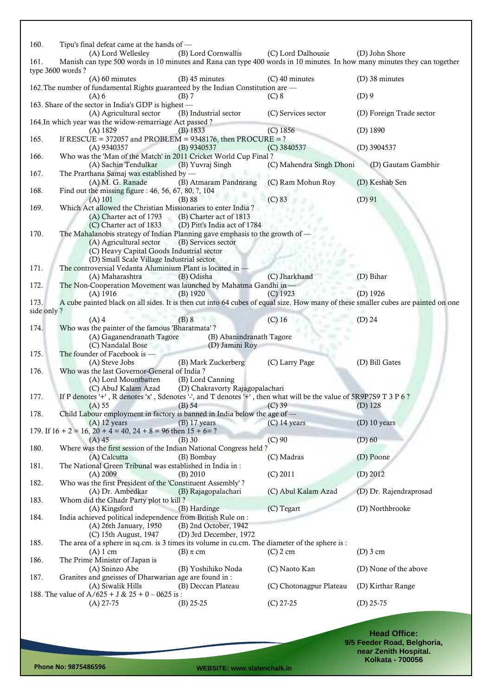| 160.       | Tipu's final defeat came at the hands of -                                                                                                   |                                                         |                          |                          |
|------------|----------------------------------------------------------------------------------------------------------------------------------------------|---------------------------------------------------------|--------------------------|--------------------------|
|            | (A) Lord Wellesley                                                                                                                           | (B) Lord Cornwallis                                     | (C) Lord Dalhousie       | (D) John Shore           |
| 161.       | Manish can type 500 words in 10 minutes and Rana can type 400 words in 10 minutes. In how many minutes they can together<br>type 3600 words? |                                                         |                          |                          |
|            | $(A)$ 60 minutes<br>162. The number of fundamental Rights guaranteed by the Indian Constitution are -                                        | $(B)$ 45 minutes                                        | (C) 40 minutes           | (D) 38 minutes           |
|            | $(A)$ 6<br>163. Share of the sector in India's GDP is highest -                                                                              | (B) 7                                                   | $(C)$ 8                  | $(D)$ 9                  |
|            | (A) Agricultural sector<br>164. In which year was the widow-remarriage Act passed?                                                           | (B) Industrial sector<br>$\overline{a}$                 | (C) Services sector      | (D) Foreign Trade sector |
|            | $(A)$ 1829                                                                                                                                   | (B) 1833                                                | $(C)$ 1856               | $(D)$ 1890               |
| 165.       | If RESCUE = 372057 and PROBLEM = 9348176, then PROCURE = ?<br>$(A)$ 9340357                                                                  | (B) 9340537                                             | (C) 3840537              | (D) 3904537              |
| 166.       | Who was the 'Man of the Match' in 2011 Cricket World Cup Final?<br>(A) Sachin Tendulkar                                                      | (B) Yuvraj Singh                                        | (C) Mahendra Singh Dhoni | (D) Gautam Gambhir       |
| 167.       | The Prarthana Samaj was established by -<br>(A) M. G. Ranade                                                                                 | (B) Atmaram Pandnrang                                   | (C) Ram Mohun Roy        | (D) Keshab Sen           |
| 168.       | Find out the missing figure : 46, 56, 67, 80, ?, 104<br>(A) 101                                                                              | $(B)$ 88                                                | $(C)$ 83                 | $(D)$ 91                 |
| 169.       | Which Act allowed the Christian Missionaries to enter India?                                                                                 |                                                         |                          |                          |
|            | (A) Charter act of 1793<br>(C) Charter act of 1833                                                                                           | (B) Charter act of 1813<br>(D) Pitt's India act of 1784 |                          |                          |
| 170.       | The Mahalanobis strategy of Indian Planning gave emphasis to the growth of -                                                                 |                                                         |                          |                          |
|            | (A) Agricultural sector                                                                                                                      | (B) Services sector                                     |                          |                          |
|            | (C) Heavy Capital Goods Industrial sector                                                                                                    |                                                         |                          |                          |
|            | (D) Small Scale Village Industrial sector                                                                                                    |                                                         |                          |                          |
| 171.       | The controversial Vedanta Aluminium Plant is located in -                                                                                    |                                                         |                          |                          |
| 172.       | (A) Maharashtra<br>The Non-Cooperation Movement was launched by Mahatma Gandhi in -                                                          | (B) Odisha                                              | (C) Jharkhand            | (D) Bihar                |
|            | $(A)$ 1916                                                                                                                                   | $(B)$ 1920                                              | $(C)$ 1923               | $(D)$ 1926               |
| 173.       | A cube painted black on all sides. It is then cut into 64 cubes of equal size. How many of these smaller cubes are painted on one            |                                                         |                          |                          |
| side only? |                                                                                                                                              |                                                         |                          |                          |
|            | $(A)$ 4                                                                                                                                      | $(B)$ 8                                                 | $(C)$ 16                 | $(D)$ 24                 |
| 174.       | Who was the painter of the famous 'Bharatmata'?                                                                                              |                                                         |                          |                          |
|            | (A) Gaganendranath Tagore<br>(C) Nandalal Bose                                                                                               | (B) Abanindranath Tagore<br>(D) Jamini Roy              |                          |                          |
| 175.       | The founder of Facebook is $-$                                                                                                               |                                                         |                          |                          |
| 176.       | (A) Steve Jobs<br>Who was the last Governor-General of India?                                                                                | (B) Mark Zuckerberg                                     | (C) Larry Page           | (D) Bill Gates           |
|            | (A) Lord Mountbatten                                                                                                                         | (B) Lord Canning                                        |                          |                          |
|            | (C) AbuJ Kalam Azad                                                                                                                          | (D) Chakravorty Rajagopalachari                         |                          |                          |
| 177.       | If P denotes '+', R denotes 'x', Sdenotes '-', and T denotes '+', then what will be the value of 5R9P7S9 T 3 P 6?                            |                                                         |                          |                          |
|            | (A) 55                                                                                                                                       | $(B)$ 54                                                | $(C)$ 39                 | (D) 128                  |
| 178.       | Child Labour employment in factory is banned in India below the age of -                                                                     |                                                         |                          |                          |
|            | $(A)$ 12 years                                                                                                                               | $(B)$ 17 years                                          | $(C)$ 14 years           | $(D)$ 10 years           |
|            | 179. If $16 + 2 = 16$ , $20 + 4 = 40$ , $24 + 8 = 96$ then $15 + 6 = ?$                                                                      | $(B)$ 30                                                |                          |                          |
| 180.       | $(A)$ 45<br>Where was the first session of the Indian National Congress held?                                                                |                                                         | $(C)$ 90                 | $(D)$ 60                 |
|            | (A) Calcutta                                                                                                                                 | (B) Bombay                                              | (C) Madras               | (D) Poone                |
| 181.       | The National Green Tribunal was established in India in:                                                                                     |                                                         |                          |                          |
|            | $(A)$ 2009                                                                                                                                   | $(B)$ 2010                                              | $(C)$ 2011               | $(D)$ 2012               |
| 182.       | Who was the first President of the 'Constituent Assembly'?<br>(A) Dr. Ambedkar                                                               | (B) Rajagopalachari                                     | (C) Abul Kalam Azad      | (D) Dr. Rajendraprosad   |
| 183.       | Whom did the Ghadr Party plot to kill?                                                                                                       |                                                         |                          |                          |
|            | (A) Kingsford                                                                                                                                | (B) Hardinge                                            | (C) Tegart               | (D) Northbrooke          |
| 184.       | India achieved political independence from British Rule on :                                                                                 |                                                         |                          |                          |
|            | (A) 26th January, 1950                                                                                                                       | (B) 2nd October, 1942                                   |                          |                          |
| 185.       | (C) 15th August, 1947<br>The area of a sphere in sq.cm. is 3 times its volume in cu.cm. The diameter of the sphere is :                      | (D) 3rd December, 1972                                  |                          |                          |
|            | $(A)$ 1 cm                                                                                                                                   | (B) $\pi$ cm                                            | $(C)$ 2 cm               | $(D)$ 3 cm               |
| 186.       | The Prime Minister of Japan is                                                                                                               |                                                         |                          |                          |
|            | (A) Sninzo Abe                                                                                                                               | (B) Yoshihiko Noda                                      | (C) Naoto Kan            | (D) None of the above    |
| 187.       | Granites and gneisses of Dharwarian age are found in:                                                                                        |                                                         |                          |                          |
|            | (A) Siwalik Hills<br>188. The value of A/625 + J & 25 + 0 - 0625 is:                                                                         | (B) Deccan Plateau                                      | (C) Chotonagpur Plateau  | (D) Kirthar Range        |
|            | $(A)$ 27-75                                                                                                                                  | $(B)$ 25-25                                             | $(C)$ 27-25              | $(D)$ 25-75              |
|            |                                                                                                                                              |                                                         |                          |                          |